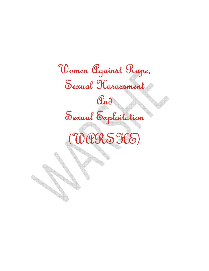Women Against Rape, Sexual Harassment Sexual Harassment And Sexual Exploitation  $(000556)$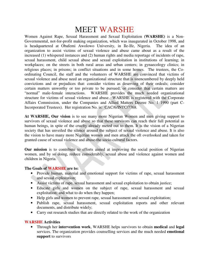# MEET WARSHE

Women Against Rape, Sexual Harassment and Sexual Exploitation **(WARSHE)** is a Non-Governmental, not-for-profit making organization, which was inaugurated in October 1998, and is headquartered at Obafemi Awolowo University, in Ile-Ife, Nigeria. The idea of an organization to assist victims of sexual violence and abuse came about as a result of the increased (1) whispered instances and (2) human rights and media reportage of incidents of rape, sexual harassment, child sexual abuse and sexual exploitation in institutions of learning; in workplaces; on the streets in both rural areas and urban centers; in gynaecology clinics; in religious places; in prisons; in conflict situations and in some homes. The trustees, the Coordinating Council, the staff and the volunteers of WARSHE are convinced that victims of sexual violence and abuse need an organizational structure that is unencumbered by deeply held convictions and or prejudices that: consider victims as deserving of their ordeals; consider certain matters unworthy or too private to be pursued; or consider that certain matters are "normal" male-female interactions. WARSHE provides the much needed organizational structure for victims of sexual violence and abuse. WARSHE is registered with the Corporate Affairs Commission, under the Companies and Allied Matters Decree No. 1 1990 (part C-Incorporated Trustees). Her registration No. is: CAC/6/INTC/7768.

**At WARSHE, Our vision** is to see many more Nigerian Women and men giving support to survivors of sexual violence and abuse so that these survivors can reach their full potential as human beings, in spite of the cruelty already meted out to them. It is the vision of a Nigerian society that has unveiled the silence around the subject of sexual violence and abuse. It is also the vision to have many more Nigerian women and men attack the oft overlooked and taken for granted cause of sexual violence and abuse-the socio-cultural factors.

**Our mission** is to contribute to efforts aimed at improving the social position of Nigerian women, and by so doing, reduce considerably, sexual abuse and violence against women and children in Nigeria.

## **The Goals of WARSHE are to:**

- Provide human, material and emotional support for victims of rape, sexual harassment and sexual exploitation;
- Assist victims of rape, sexual harassment and sexual exploitation to obtain justice;
- Educate girls and women on the subject of rape, sexual harassment and sexual exploitation; and what to do when they happen;
- Help girls and women to prevent rape, sexual harassment and sexual exploitation;
- Publish rape, sexual harassment, sexual exploitation reports and other relevant documents, and distribute widely;
- Carry out research studies that are directly related to the work of the organization

## **WARSHE Activities**

• Through her **intervention work**, WARSHE helps survivors to obtain **medical** and **legal**  services. The organization provides counselling services and the much needed **emotional support** to survivors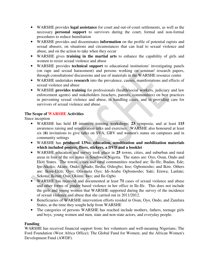- WARSHE provides **legal assistance** for court and out-of-court settlements, as well as the necessary **personal support** to survivors during the court, formal and non-formal procedures to reduce humiliation
- WARSHE provides and disseminates **information** on the profile of potential rapists and sexual abusers, on situations and circumstances that can lead to sexual violence and abuse, and on the action to take when they occur
- WARSHE gives **training in the martial arts** to enhance the capability of girls and women to resist sexual violence and abuse
- WARSHE provides **technical support** to educational institutions' investigating panels (on rape and sexual harassment) and persons working on seminar/ research papers, through consultations/ discussions and use of materials in the WARSHE resource centre
- WARSHE undertakes **research** into the prevalence, causes, manifestations and effects of sexual violence and abuse
- WARSHE **provides training** for professionals (health/social workers, judiciary and law enforcement agents) and stakeholders (teachers, parents, communities) on best practices in preventing sexual violence and abuse, in handling cases, and in providing care for survivors of sexual violence and abuse.

# **The Scope of WARSHE Activities**

Since inception

- WARSHE has held **15** intensive training workshops; **23** symposia; and at least **115**  awareness raising and sensitization talks and exercises. WARSHE also honoured at least six (**6)** invitations to give talks on SVA, GBV and women's status on campuses and in community settings
- WARSHE has **produced 13No. education, sensitization and mobilization materials which included posters, fliers, stickers, a DVD and a booklet**
- WARSHE education and survey took place in **25** towns, cities, and suburban and rural areas in four of the six states in Southwest Nigeria. The states are: Oyo, Osun, Ondo and Ekiti States. The towns, cities and rural communities reached are: Ile-Ife; Ibadan, Ede; Ipe-Akoko; Akure; Ondo; Igbado; Ilesha; Oshogbo; Iree; Ogbomosho; and Ikire. Others are: Ikere-Ekiti; Oyo; Ofa-meta Oyo; Idi-Araba Ogbomosho; Saki; Eruwa; Lanlate; Sekona; Ikirun; Osu; Okinni; Iwo; and Ile-Ogbo
- WARSHE has received and documented at least **71** cases of sexual violence and abuse and other forms of gender based violence in her office in Ile-Ife. This does not include the girls and young women that WARSHE supported during the survey of the incidence of sexual violence and abuse that she carried out in 2011/2012.
- Beneficiaries of WARSHE intervention efforts resided in Osun, Oyo, Ondo, and Zamfara States, at the time they sought help from WARSHE
- The categories of persons WARSHE has reached include mothers, fathers, teenage girls and boys, young women and men, state and non-state actors, and everyday people.

# **Funding**

WARSHE has received financial support from: her volunteers and well-meaning Nigerians; The Ford Foundation (West Africa Office); The Global Fund for Women; and the African Women's Development Fund (AWDF).